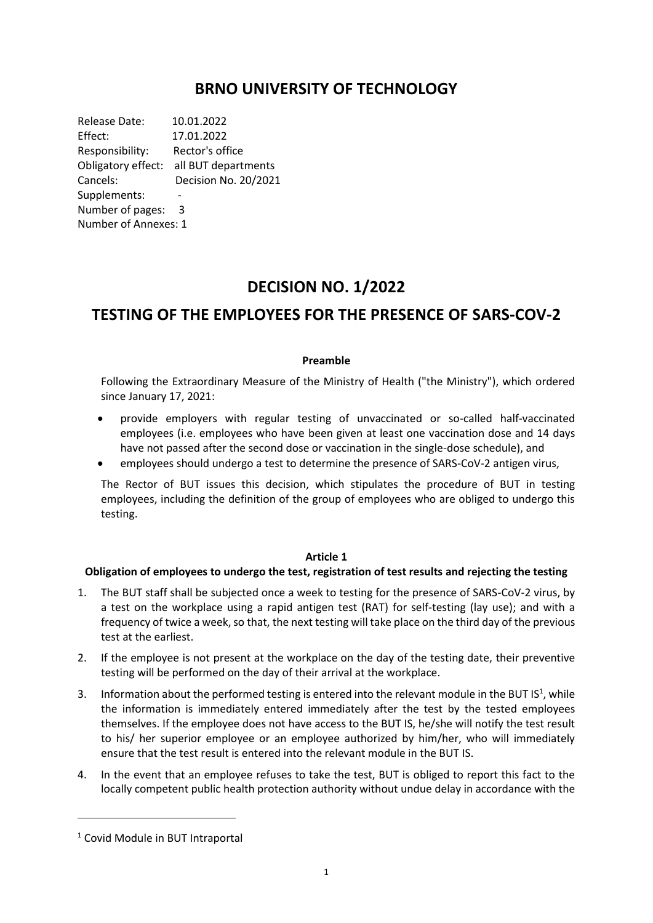## **BRNO UNIVERSITY OF TECHNOLOGY**

Release Date: 10.01.2022 Effect: 17.01.2022 Responsibility: Rector's office Obligatory effect: all BUT departments Cancels: Decision No. 20/2021 Supplements: Number of pages: 3 Number of Annexes: 1

# **DECISION NO. 1/2022**

# **TESTING OF THE EMPLOYEES FOR THE PRESENCE OF SARS-COV-2**

#### **Preamble**

Following the Extraordinary Measure of the Ministry of Health ("the Ministry"), which ordered since January 17, 2021:

- provide employers with regular testing of unvaccinated or so-called half-vaccinated employees (i.e. employees who have been given at least one vaccination dose and 14 days have not passed after the second dose or vaccination in the single-dose schedule), and
- employees should undergo a test to determine the presence of SARS-CoV-2 antigen virus,

The Rector of BUT issues this decision, which stipulates the procedure of BUT in testing employees, including the definition of the group of employees who are obliged to undergo this testing.

#### **Article 1**

### **Obligation of employees to undergo the test, registration of test results and rejecting the testing**

- 1. The BUT staff shall be subjected once a week to testing for the presence of SARS-CoV-2 virus, by a test on the workplace using a rapid antigen test (RAT) for self-testing (lay use); and with a frequency of twice a week, so that, the next testing will take place on the third day of the previous test at the earliest.
- 2. If the employee is not present at the workplace on the day of the testing date, their preventive testing will be performed on the day of their arrival at the workplace.
- 3. Information about the performed testing is entered into the relevant module in the BUT  $IS<sup>1</sup>$ , while the information is immediately entered immediately after the test by the tested employees themselves. If the employee does not have access to the BUT IS, he/she will notify the test result to his/ her superior employee or an employee authorized by him/her, who will immediately ensure that the test result is entered into the relevant module in the BUT IS.
- 4. In the event that an employee refuses to take the test, BUT is obliged to report this fact to the locally competent public health protection authority without undue delay in accordance with the

<sup>1</sup> Covid Module in BUT Intraportal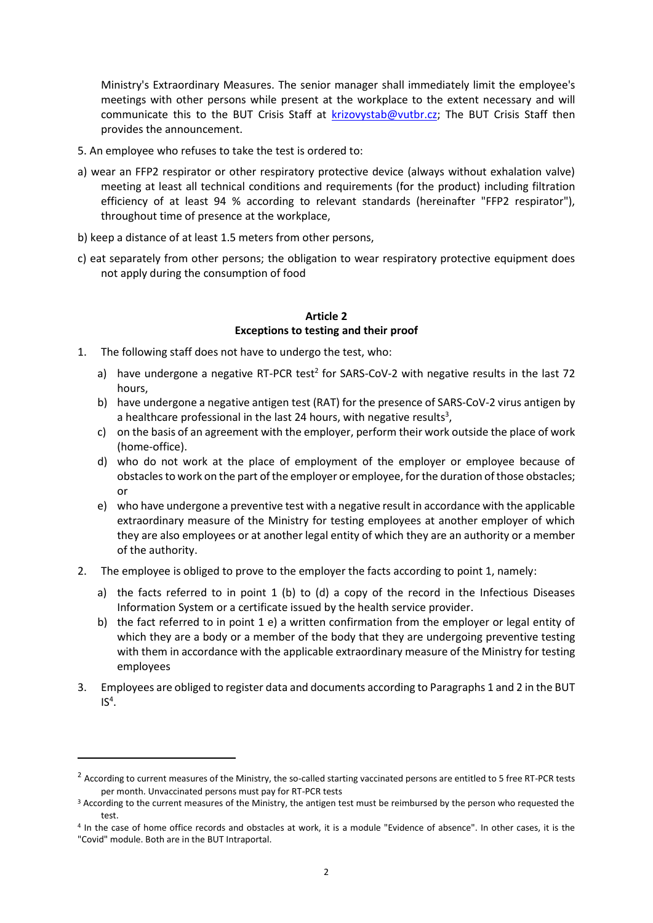Ministry's Extraordinary Measures. The senior manager shall immediately limit the employee's meetings with other persons while present at the workplace to the extent necessary and will communicate this to the BUT Crisis Staff at [krizovystab@vutbr.cz;](mailto:krizovystab@vutbr.cz) The BUT Crisis Staff then provides the announcement.

- 5. An employee who refuses to take the test is ordered to:
- a) wear an FFP2 respirator or other respiratory protective device (always without exhalation valve) meeting at least all technical conditions and requirements (for the product) including filtration efficiency of at least 94 % according to relevant standards (hereinafter "FFP2 respirator"), throughout time of presence at the workplace,
- b) keep a distance of at least 1.5 meters from other persons,
- c) eat separately from other persons; the obligation to wear respiratory protective equipment does not apply during the consumption of food

#### **Article 2 Exceptions to testing and their proof**

- 1. The following staff does not have to undergo the test, who:
	- a) have undergone a negative RT-PCR test<sup>2</sup> for SARS-CoV-2 with negative results in the last 72 hours,
	- b) have undergone a negative antigen test (RAT) for the presence of SARS-CoV-2 virus antigen by a healthcare professional in the last 24 hours, with negative results<sup>3</sup>,
	- c) on the basis of an agreement with the employer, perform their work outside the place of work (home-office).
	- d) who do not work at the place of employment of the employer or employee because of obstacles to work on the part of the employer or employee, for the duration of those obstacles; or
	- e) who have undergone a preventive test with a negative result in accordance with the applicable extraordinary measure of the Ministry for testing employees at another employer of which they are also employees or at another legal entity of which they are an authority or a member of the authority.
- 2. The employee is obliged to prove to the employer the facts according to point 1, namely:
	- a) the facts referred to in point  $1$  (b) to (d) a copy of the record in the Infectious Diseases Information System or a certificate issued by the health service provider.
	- b) the fact referred to in point 1 e) a written confirmation from the employer or legal entity of which they are a body or a member of the body that they are undergoing preventive testing with them in accordance with the applicable extraordinary measure of the Ministry for testing employees
- 3. Employees are obliged to register data and documents according to Paragraphs 1 and 2 in the BUT  $IS<sup>4</sup>$ .

 $^2$  According to current measures of the Ministry, the so-called starting vaccinated persons are entitled to 5 free RT-PCR tests per month. Unvaccinated persons must pay for RT-PCR tests

<sup>&</sup>lt;sup>3</sup> According to the current measures of the Ministry, the antigen test must be reimbursed by the person who requested the test.

<sup>4</sup> In the case of home office records and obstacles at work, it is a module "Evidence of absence". In other cases, it is the "Covid" module. Both are in the BUT Intraportal.